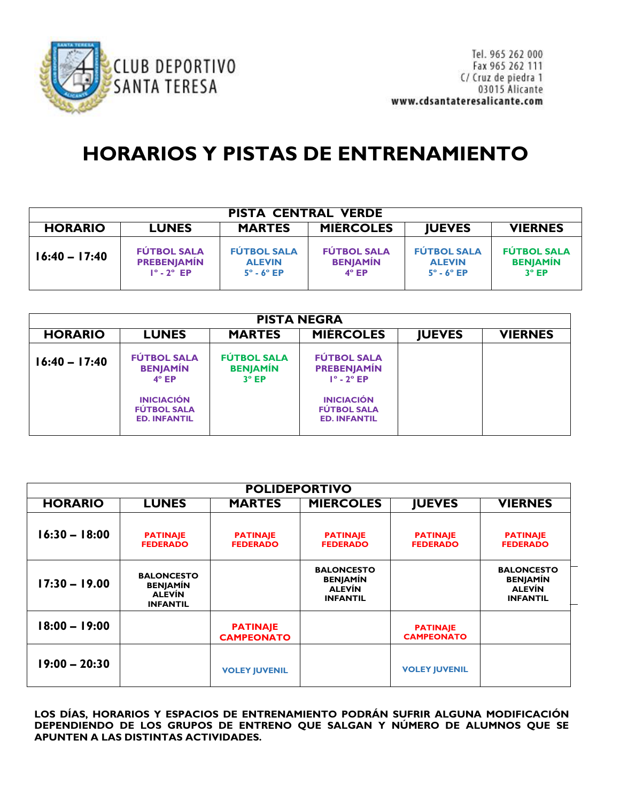

## **HORARIOS Y PISTAS DE ENTRENAMIENTO**

| <b>PISTA CENTRAL VERDE</b>                                                                             |                                                                      |                                                                 |                                                       |                                                                  |                                                       |  |  |
|--------------------------------------------------------------------------------------------------------|----------------------------------------------------------------------|-----------------------------------------------------------------|-------------------------------------------------------|------------------------------------------------------------------|-------------------------------------------------------|--|--|
| <b>MIERCOLES</b><br><b>MARTES</b><br><b>IUEVES</b><br><b>VIERNES</b><br><b>HORARIO</b><br><b>LUNES</b> |                                                                      |                                                                 |                                                       |                                                                  |                                                       |  |  |
| $16:40 - 17:40$                                                                                        | <b>FÚTBOL SALA</b><br><b>PREBENJAMÍN</b><br>$1^\circ$ - $2^\circ$ EP | <b>FÚTBOL SALA</b><br><b>ALEVIN</b><br>$5^\circ$ - $6^\circ$ EP | <b>FÚTBOL SALA</b><br><b>BENJAMÍN</b><br>$4^\circ$ EP | <b>FÚTBOL SALA</b><br><b>ALEVIN</b><br>$5^\circ$ - 6 $^\circ$ EP | <b>FÚTBOL SALA</b><br><b>BENJAMÍN</b><br>$3^\circ$ EP |  |  |

| <b>PISTA NEGRA</b> |                                                                |                                                       |                                                                      |               |                |  |  |
|--------------------|----------------------------------------------------------------|-------------------------------------------------------|----------------------------------------------------------------------|---------------|----------------|--|--|
| <b>HORARIO</b>     | <b>LUNES</b>                                                   | <b>MARTES</b>                                         | <b>MIERCOLES</b>                                                     | <b>JUEVES</b> | <b>VIERNES</b> |  |  |
| $16:40 - 17:40$    | <b>FÚTBOL SALA</b><br><b>BENJAMÍN</b><br>$4^\circ$ EP          | <b>FÚTBOL SALA</b><br><b>BENJAMÍN</b><br>$3^\circ$ EP | <b>FÚTBOL SALA</b><br><b>PREBENJAMÍN</b><br>$1^\circ$ - $2^\circ$ EP |               |                |  |  |
|                    | <b>INICIACIÓN</b><br><b>FÚTBOL SALA</b><br><b>ED. INFANTIL</b> |                                                       | <b>INICIACIÓN</b><br><b>FÚTBOL SALA</b><br><b>ED. INFANTIL</b>       |               |                |  |  |
|                    |                                                                |                                                       |                                                                      |               |                |  |  |

| <b>POLIDEPORTIVO</b> |                                                                          |                                      |                                                                          |                                      |                                                                          |  |  |
|----------------------|--------------------------------------------------------------------------|--------------------------------------|--------------------------------------------------------------------------|--------------------------------------|--------------------------------------------------------------------------|--|--|
| <b>HORARIO</b>       | <b>LUNES</b>                                                             | <b>MARTES</b>                        | <b>MIERCOLES</b>                                                         | <b>JUEVES</b>                        | <b>VIERNES</b>                                                           |  |  |
| $16:30 - 18:00$      | <b>PATINAJE</b><br><b>FEDERADO</b>                                       | <b>PATINAJE</b><br><b>FEDERADO</b>   | <b>PATINAJE</b><br><b>FEDERADO</b>                                       | <b>PATINAJE</b><br><b>FEDERADO</b>   | <b>PATINAJE</b><br><b>FEDERADO</b>                                       |  |  |
| $17:30 - 19.00$      | <b>BALONCESTO</b><br><b>BENJAMÍN</b><br><b>ALEVÍN</b><br><b>INFANTIL</b> |                                      | <b>BALONCESTO</b><br><b>BENJAMÍN</b><br><b>ALEVÍN</b><br><b>INFANTIL</b> |                                      | <b>BALONCESTO</b><br><b>BENJAMÍN</b><br><b>ALEVÍN</b><br><b>INFANTIL</b> |  |  |
| $18:00 - 19:00$      |                                                                          | <b>PATINAJE</b><br><b>CAMPEONATO</b> |                                                                          | <b>PATINAJE</b><br><b>CAMPEONATO</b> |                                                                          |  |  |
| $19:00 - 20:30$      |                                                                          | <b>VOLEY JUVENIL</b>                 |                                                                          | <b>VOLEY JUVENIL</b>                 |                                                                          |  |  |

**LOS DÍAS, HORARIOS Y ESPACIOS DE ENTRENAMIENTO PODRÁN SUFRIR ALGUNA MODIFICACIÓN DEPENDIENDO DE LOS GRUPOS DE ENTRENO QUE SALGAN Y NÚMERO DE ALUMNOS QUE SE APUNTEN A LAS DISTINTAS ACTIVIDADES.**